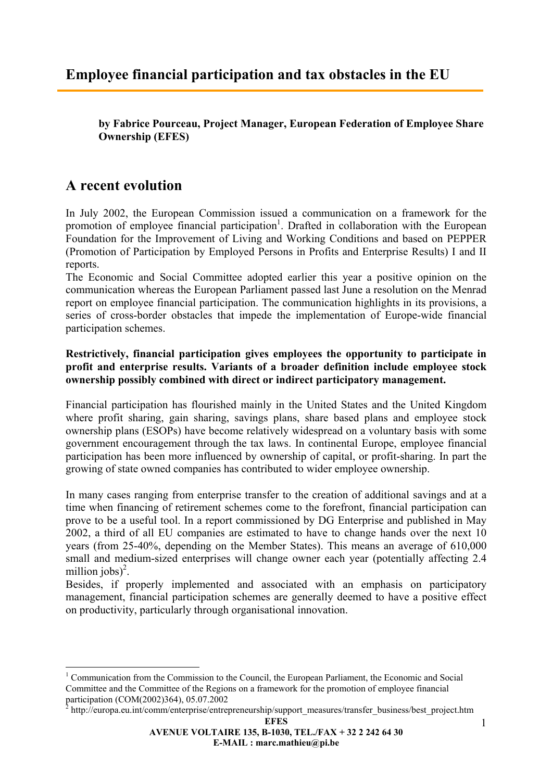**by Fabrice Pourceau, Project Manager, European Federation of Employee Share Ownership (EFES)** 

# **A recent evolution**

1

In July 2002, the European Commission issued a communication on a framework for the promotion of employee financial participation<sup>1</sup>. Drafted in collaboration with the European Foundation for the Improvement of Living and Working Conditions and based on PEPPER (Promotion of Participation by Employed Persons in Profits and Enterprise Results) I and II reports.

The Economic and Social Committee adopted earlier this year a positive opinion on the communication whereas the European Parliament passed last June a resolution on the Menrad report on employee financial participation. The communication highlights in its provisions, a series of cross-border obstacles that impede the implementation of Europe-wide financial participation schemes.

### **Restrictively, financial participation gives employees the opportunity to participate in profit and enterprise results. Variants of a broader definition include employee stock ownership possibly combined with direct or indirect participatory management.**

Financial participation has flourished mainly in the United States and the United Kingdom where profit sharing, gain sharing, savings plans, share based plans and employee stock ownership plans (ESOPs) have become relatively widespread on a voluntary basis with some government encouragement through the tax laws. In continental Europe, employee financial participation has been more influenced by ownership of capital, or profit-sharing. In part the growing of state owned companies has contributed to wider employee ownership.

In many cases ranging from enterprise transfer to the creation of additional savings and at a time when financing of retirement schemes come to the forefront, financial participation can prove to be a useful tool. In a report commissioned by DG Enterprise and published in May 2002, a third of all EU companies are estimated to have to change hands over the next 10 years (from 25-40%, depending on the Member States). This means an average of 610,000 small and medium-sized enterprises will change owner each year (potentially affecting 2.4 million jobs)<sup>2</sup>.

Besides, if properly implemented and associated with an emphasis on participatory management, financial participation schemes are generally deemed to have a positive effect on productivity, particularly through organisational innovation.

<sup>&</sup>lt;sup>1</sup> Communication from the Commission to the Council, the European Parliament, the Economic and Social Committee and the Committee of the Regions on a framework for the promotion of employee financial participation (COM(2002)364), 05.07.2002

 $2$  http://europa.eu.int/comm/enterprise/entrepreneurship/support\_measures/transfer\_business/best\_project.htm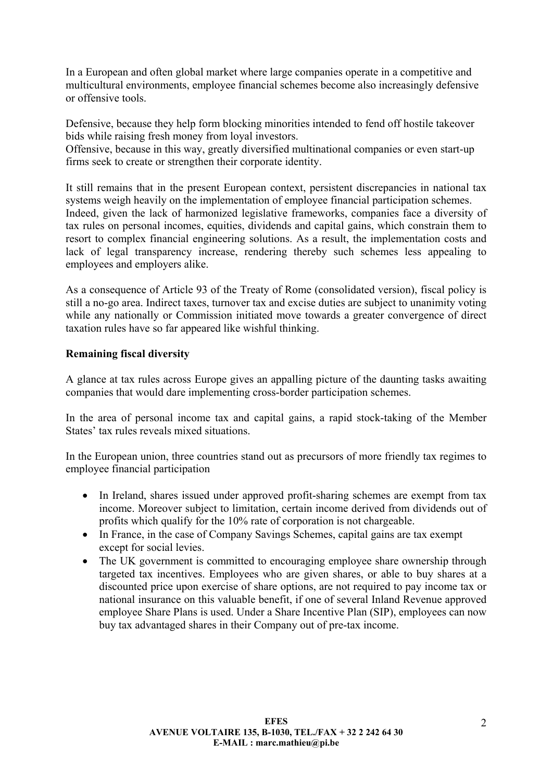In a European and often global market where large companies operate in a competitive and multicultural environments, employee financial schemes become also increasingly defensive or offensive tools.

Defensive, because they help form blocking minorities intended to fend off hostile takeover bids while raising fresh money from loyal investors.

Offensive, because in this way, greatly diversified multinational companies or even start-up firms seek to create or strengthen their corporate identity.

It still remains that in the present European context, persistent discrepancies in national tax systems weigh heavily on the implementation of employee financial participation schemes. Indeed, given the lack of harmonized legislative frameworks, companies face a diversity of tax rules on personal incomes, equities, dividends and capital gains, which constrain them to resort to complex financial engineering solutions. As a result, the implementation costs and lack of legal transparency increase, rendering thereby such schemes less appealing to employees and employers alike.

As a consequence of Article 93 of the Treaty of Rome (consolidated version), fiscal policy is still a no-go area. Indirect taxes, turnover tax and excise duties are subject to unanimity voting while any nationally or Commission initiated move towards a greater convergence of direct taxation rules have so far appeared like wishful thinking.

### **Remaining fiscal diversity**

A glance at tax rules across Europe gives an appalling picture of the daunting tasks awaiting companies that would dare implementing cross-border participation schemes.

In the area of personal income tax and capital gains, a rapid stock-taking of the Member States' tax rules reveals mixed situations.

In the European union, three countries stand out as precursors of more friendly tax regimes to employee financial participation

- In Ireland, shares issued under approved profit-sharing schemes are exempt from tax income. Moreover subject to limitation, certain income derived from dividends out of profits which qualify for the 10% rate of corporation is not chargeable.
- In France, in the case of Company Savings Schemes, capital gains are tax exempt except for social levies.
- The UK government is committed to encouraging employee share ownership through targeted tax incentives. Employees who are given shares, or able to buy shares at a discounted price upon exercise of share options, are not required to pay income tax or national insurance on this valuable benefit, if one of several Inland Revenue approved employee Share Plans is used. Under a Share Incentive Plan (SIP), employees can now buy tax advantaged shares in their Company out of pre-tax income.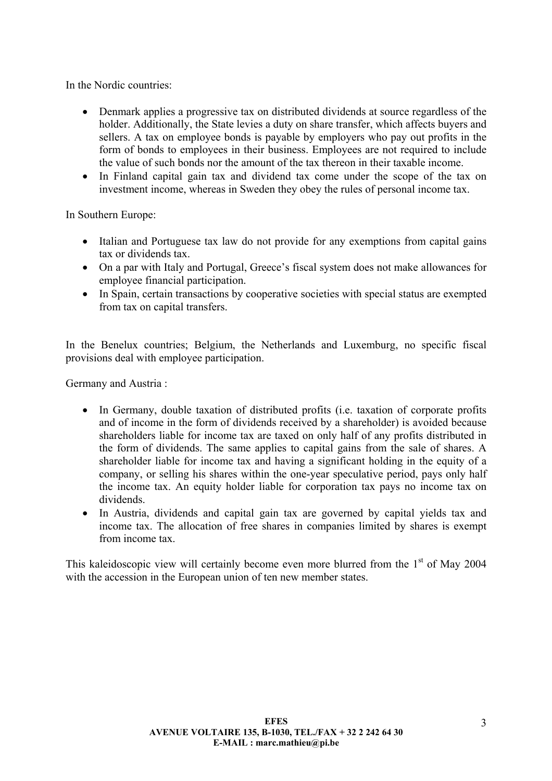In the Nordic countries:

- Denmark applies a progressive tax on distributed dividends at source regardless of the holder. Additionally, the State levies a duty on share transfer, which affects buyers and sellers. A tax on employee bonds is payable by employers who pay out profits in the form of bonds to employees in their business. Employees are not required to include the value of such bonds nor the amount of the tax thereon in their taxable income.
- In Finland capital gain tax and dividend tax come under the scope of the tax on investment income, whereas in Sweden they obey the rules of personal income tax.

In Southern Europe:

- Italian and Portuguese tax law do not provide for any exemptions from capital gains tax or dividends tax.
- On a par with Italy and Portugal, Greece's fiscal system does not make allowances for employee financial participation.
- In Spain, certain transactions by cooperative societies with special status are exempted from tax on capital transfers.

In the Benelux countries; Belgium, the Netherlands and Luxemburg, no specific fiscal provisions deal with employee participation.

Germany and Austria :

- In Germany, double taxation of distributed profits (i.e. taxation of corporate profits and of income in the form of dividends received by a shareholder) is avoided because shareholders liable for income tax are taxed on only half of any profits distributed in the form of dividends. The same applies to capital gains from the sale of shares. A shareholder liable for income tax and having a significant holding in the equity of a company, or selling his shares within the one-year speculative period, pays only half the income tax. An equity holder liable for corporation tax pays no income tax on dividends.
- In Austria, dividends and capital gain tax are governed by capital yields tax and income tax. The allocation of free shares in companies limited by shares is exempt from income tax.

This kaleidoscopic view will certainly become even more blurred from the  $1<sup>st</sup>$  of May 2004 with the accession in the European union of ten new member states.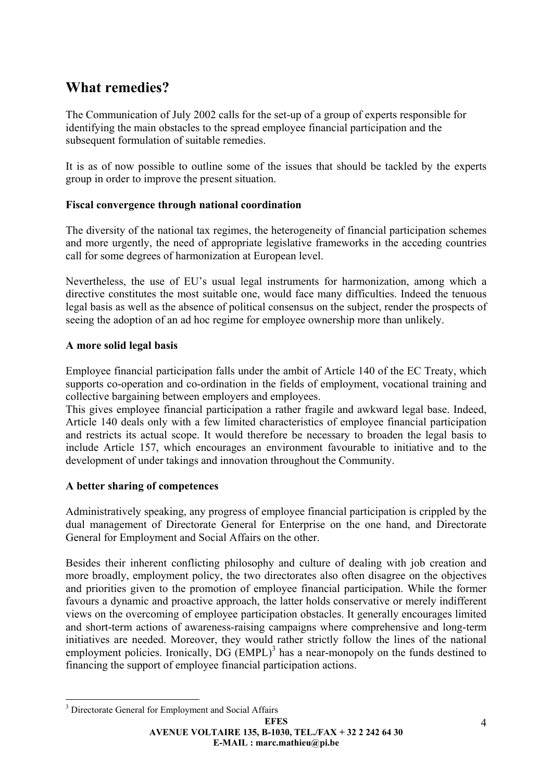# **What remedies?**

The Communication of July 2002 calls for the set-up of a group of experts responsible for identifying the main obstacles to the spread employee financial participation and the subsequent formulation of suitable remedies.

It is as of now possible to outline some of the issues that should be tackled by the experts group in order to improve the present situation.

### **Fiscal convergence through national coordination**

The diversity of the national tax regimes, the heterogeneity of financial participation schemes and more urgently, the need of appropriate legislative frameworks in the acceding countries call for some degrees of harmonization at European level.

Nevertheless, the use of EU's usual legal instruments for harmonization, among which a directive constitutes the most suitable one, would face many difficulties. Indeed the tenuous legal basis as well as the absence of political consensus on the subject, render the prospects of seeing the adoption of an ad hoc regime for employee ownership more than unlikely.

### **A more solid legal basis**

Employee financial participation falls under the ambit of Article 140 of the EC Treaty, which supports co-operation and co-ordination in the fields of employment, vocational training and collective bargaining between employers and employees.

This gives employee financial participation a rather fragile and awkward legal base. Indeed, Article 140 deals only with a few limited characteristics of employee financial participation and restricts its actual scope. It would therefore be necessary to broaden the legal basis to include Article 157, which encourages an environment favourable to initiative and to the development of under takings and innovation throughout the Community.

### **A better sharing of competences**

Administratively speaking, any progress of employee financial participation is crippled by the dual management of Directorate General for Enterprise on the one hand, and Directorate General for Employment and Social Affairs on the other.

Besides their inherent conflicting philosophy and culture of dealing with job creation and more broadly, employment policy, the two directorates also often disagree on the objectives and priorities given to the promotion of employee financial participation. While the former favours a dynamic and proactive approach, the latter holds conservative or merely indifferent views on the overcoming of employee participation obstacles. It generally encourages limited and short-term actions of awareness-raising campaigns where comprehensive and long-term initiatives are needed. Moreover, they would rather strictly follow the lines of the national employment policies. Ironically,  $DG (EMPL)^3$  has a near-monopoly on the funds destined to financing the support of employee financial participation actions.

<sup>1</sup> <sup>3</sup> Directorate General for Employment and Social Affairs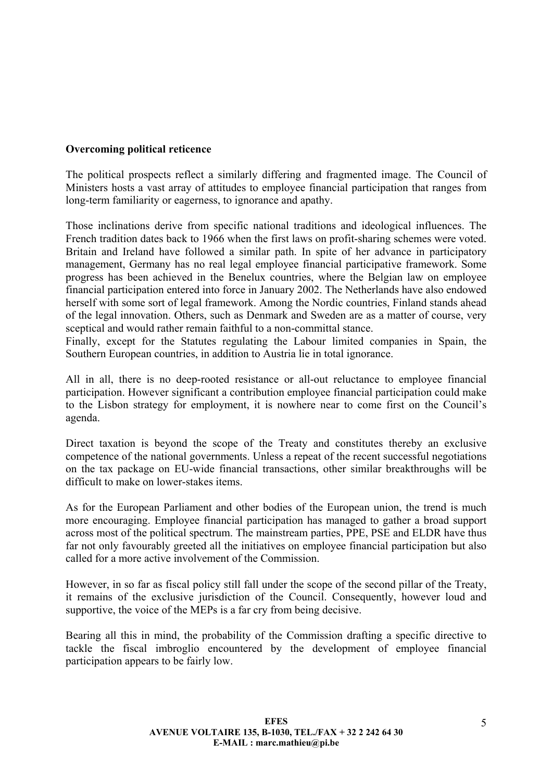#### **Overcoming political reticence**

The political prospects reflect a similarly differing and fragmented image. The Council of Ministers hosts a vast array of attitudes to employee financial participation that ranges from long-term familiarity or eagerness, to ignorance and apathy.

Those inclinations derive from specific national traditions and ideological influences. The French tradition dates back to 1966 when the first laws on profit-sharing schemes were voted. Britain and Ireland have followed a similar path. In spite of her advance in participatory management, Germany has no real legal employee financial participative framework. Some progress has been achieved in the Benelux countries, where the Belgian law on employee financial participation entered into force in January 2002. The Netherlands have also endowed herself with some sort of legal framework. Among the Nordic countries, Finland stands ahead of the legal innovation. Others, such as Denmark and Sweden are as a matter of course, very sceptical and would rather remain faithful to a non-committal stance.

Finally, except for the Statutes regulating the Labour limited companies in Spain, the Southern European countries, in addition to Austria lie in total ignorance.

All in all, there is no deep-rooted resistance or all-out reluctance to employee financial participation. However significant a contribution employee financial participation could make to the Lisbon strategy for employment, it is nowhere near to come first on the Council's agenda.

Direct taxation is beyond the scope of the Treaty and constitutes thereby an exclusive competence of the national governments. Unless a repeat of the recent successful negotiations on the tax package on EU-wide financial transactions, other similar breakthroughs will be difficult to make on lower-stakes items.

As for the European Parliament and other bodies of the European union, the trend is much more encouraging. Employee financial participation has managed to gather a broad support across most of the political spectrum. The mainstream parties, PPE, PSE and ELDR have thus far not only favourably greeted all the initiatives on employee financial participation but also called for a more active involvement of the Commission.

However, in so far as fiscal policy still fall under the scope of the second pillar of the Treaty, it remains of the exclusive jurisdiction of the Council. Consequently, however loud and supportive, the voice of the MEPs is a far cry from being decisive.

Bearing all this in mind, the probability of the Commission drafting a specific directive to tackle the fiscal imbroglio encountered by the development of employee financial participation appears to be fairly low.